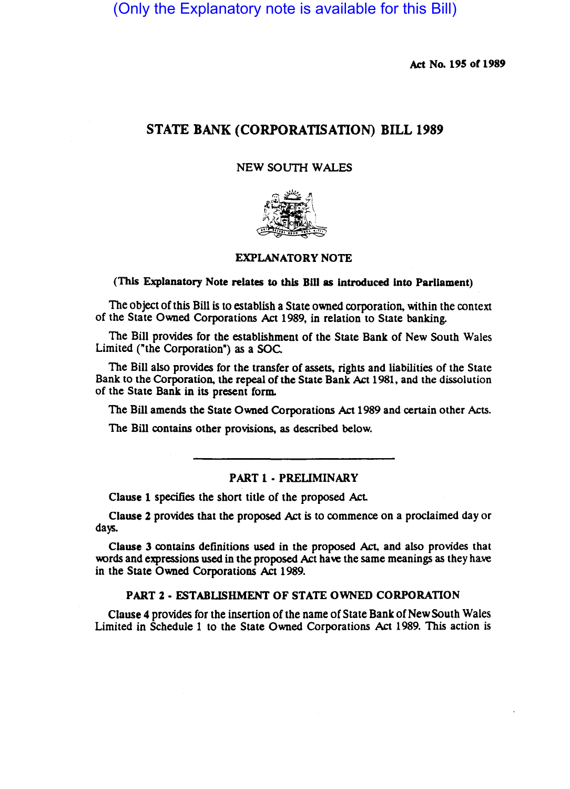(Only the Explanatory note is available for this Bill)

Act No. 195 of 1989

# STATE BANK (CORPORATISATION) BILL 1989

### NEW SOUTH WALES



### EXPLANATORY NOTE

#### (This Explanatory Note relates to this Bill as introduced into Parliament)

The Object of this Bill is to establish a State owned corporation, within the context of the State Owned Corporations Act 1989, in relation to State banking.

The Bill provides for the establishment of the State Bank of New South Wales Limited ("the Corporation") as a SOC.

The Bill also provides for the transfer of assets. rights and liabilities of the State Bank to the Corporation, the repeal of the State Bank Act 1981, and the dissolution of the State Bank in its present form.

The Bill amends the State Owned Corporations Act 1989 and certain other Acts.

The Bill contains other provisions, as described below.

### PART 1 - PRELIMINARY

Clause 1 specifies the short title of the proposed Act

Clause 2 provides that the proposed Act is to commence on a proclaimed day or days.

Clause 3 contains definitions used in the proposed Act. and also provides that words and expressions used in the proposed Act have the same meanings as they have in the State Owned Corporations Act 1989.

### PART 2 • ESTABLISHMENT OF STATE OWNED CORPORATION

Clause 4 provides for the insenion of the name of State Bank of New South Wales Limited in Schedule 1 to the State Owned Corporations Act 1989. This action is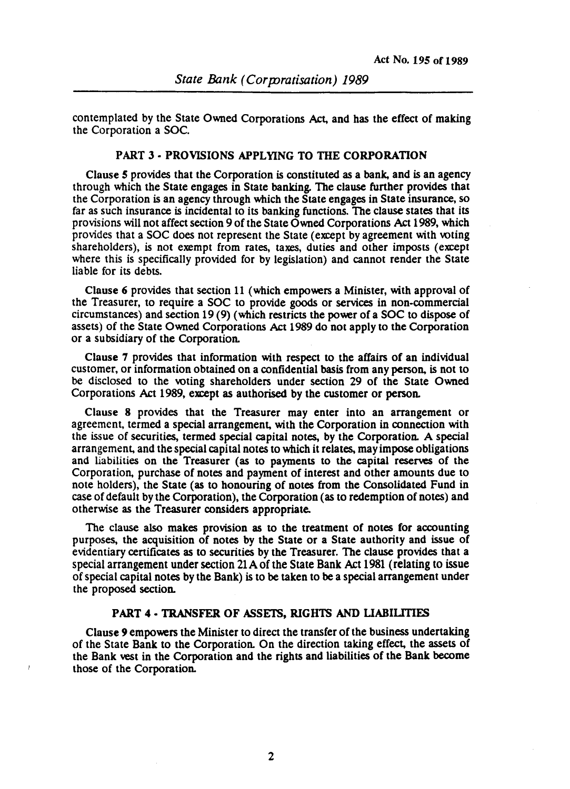contemplated by the State Owned Corporations Act, and has the effect of making the Corporation a SOC.

# PART 3 - PROVISIONS APPLYING TO THE CORPORATION

Clause *5* provides that the Corporation is constituted as a bank, and is an agency through which the State engages in State banking. The clause funher provides that the Corporation is an agency through which the State engages in State insurance, so far as such insurance is incidental to its banking functions. The clause states that its provisions will not affect section 9 of the State Owned Corporations Act 1989, which provides that a SOC does not represent the State (except by agreement with voting shareholders), is not exempt from rates, taxes, duties and other imposts (except where this is specifically provided for by legislation) and cannot render the State liable for its debts.

Clause 6 provides that section 11 (which empowers a Minister, with approval of the Treasurer, to require a SOC to provide goods or services in non-commercial circumstances) and section 19 (9) (which restricts the power of a SOC to dispose of assets) of the State Owned Corporations Act 1989 do not apply to the Corporation or a subsidiary of the Corporation.

Clause 7 provides that information with respect to the affairs of an individual customer, or information obtained on a confidential basis from any person, is not to be disclosed to the voting shareholders under section 29 of the State Owned Corporations Act 1989, except as authorised by the customer or person.

Clause 8 provides that the Treasurer may enter into an arrangement or agreement, termed a special arrangement, with the Corporation in connection with the issue of securities, termed special capital notes, by the Corporation. A special arrangement, and the special capital notes to which it relates, may impose obligations and liabilities on the Treasurer (as to payments to the capital reserves of the Corporation, purchase of notes and payment of interest and other amounts due to note holders), the State (as to honouring of notes from the Consolidated Fund in case of default by the Corporation), the Corporation (as to redemption of notes) and otherwise as the Treasurer considers appropriate.

The clause also makes provision as to the treatment of notes for accounting purposes, the acquisition of notes by the State or a State authority and issue of evidentiary cenificates as to securities by the Treasurer. The clause provides that a special arrangement under section 21 A of the State Bank Act 1981 (relating to issue of special capital notes by the Bank) is to be taken to be a special arrangement under the proposed section.

# PART 4 - TRANSFER OF ASSETS, RIGHTS AND LIABILITIES

Clause 9 empowers the Minister to direct the transfer of the business undertaking of the State Bank to the Corporation. On the direction taking effect, the assets of the Bank vest in the Corporation and the rights and liabilities of the Bank become those of the Corporation.

2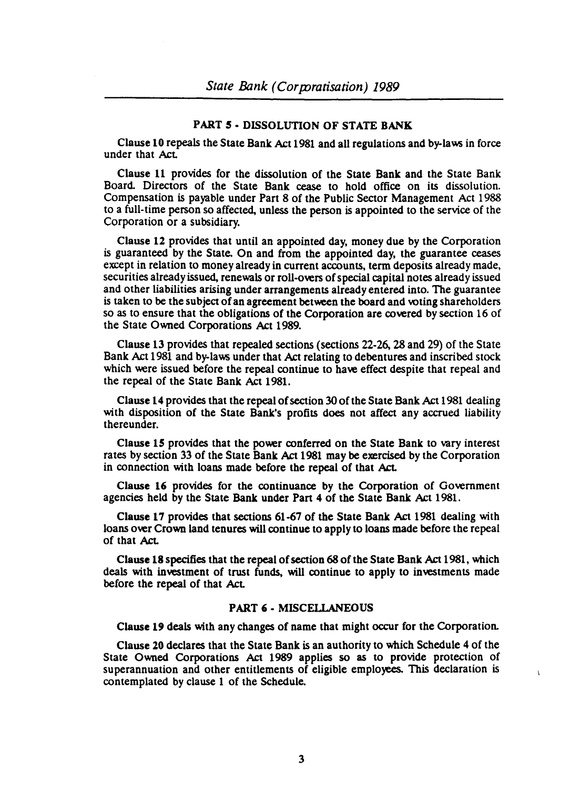## PART 5· DISSOLUTION OF STATE BANK

Clause 10 repeals the State Bank Act 1981 and all regulations and by-laws in force under that Act

Clause 11 provides for the dissolution of the State Bank and the State Bank Board. Directors of the State Bank cease to hold office on its dissolution. Compensation is payable under Part 8 of the Public Sector Management Act 1988 to a full-time person so affected, unless the person is appointed to the service of the Corporation or a subsidiary.

Clause 12 provides that until an appointed day, money due by the Corporation is guaranteed by the State. On and from the appointed day, the guarantee ceases except in relation to money already in current accounts, term deposits already made, securities already issued, renewals or roll·overs of special capital notes already issued and other liabilities arising under arrangements already entered into. The guarantee is taken to be the subject of an agreement between the board and voting shareholders so as to ensure that the obligations of the Corporation are covered by section 16 of the State Owned Corporations Act 1989.

Clause 13 provides that repealed sections (sections 22-26, 28 and 29) of the State Bank Act 1981 and by-laws under that Act relating to debentures and inscribed stock which were issued before the repeal continue to have effect despite that repeal and the repeal of the State Bank Act 1981.

Clause 14 provides that the repeal of section 30 of the State Bank Act 1981 dealing with disposition of the State Bank's profits does not affect any accrued liability thereunder.

Clause 15 provides that the power conferred on the State Bank to vary interest rates by section 33 of the State Bank Act 1981 may be exercised by the Corporation in connection with loans made before the repeal of that Act.

Clause 16 provides for the continuance by the Corporation of Government agencies held by the State Bank under Pan 4 of the State Bank Act 1981.

Clause 17 provides that sections 61-67 of the State Bank Act 1981 dealing with loans over Crown land tenures will continue to apply to loans made before the repeal of that Act.

Clause 18 specifies that the repeal of section 68 of the State Bank Act 1981, which deals with investment of trust funds, will continue to apply to investments made before the repeal of that Act

## PART 6 • MISCELLANEOUS

Clause 19 deals with any changes of name that might occur for the Corporation.

Clause 10 declares that the State Bank is an authority to which Schedule 4 of the State Owned Corporations Act 1989 applies so as to provide protection of superannuation and other entitlements of eligible employees. This declaration is contemplated by clause 1 of the Schedule.

 $\mathbf{v}$